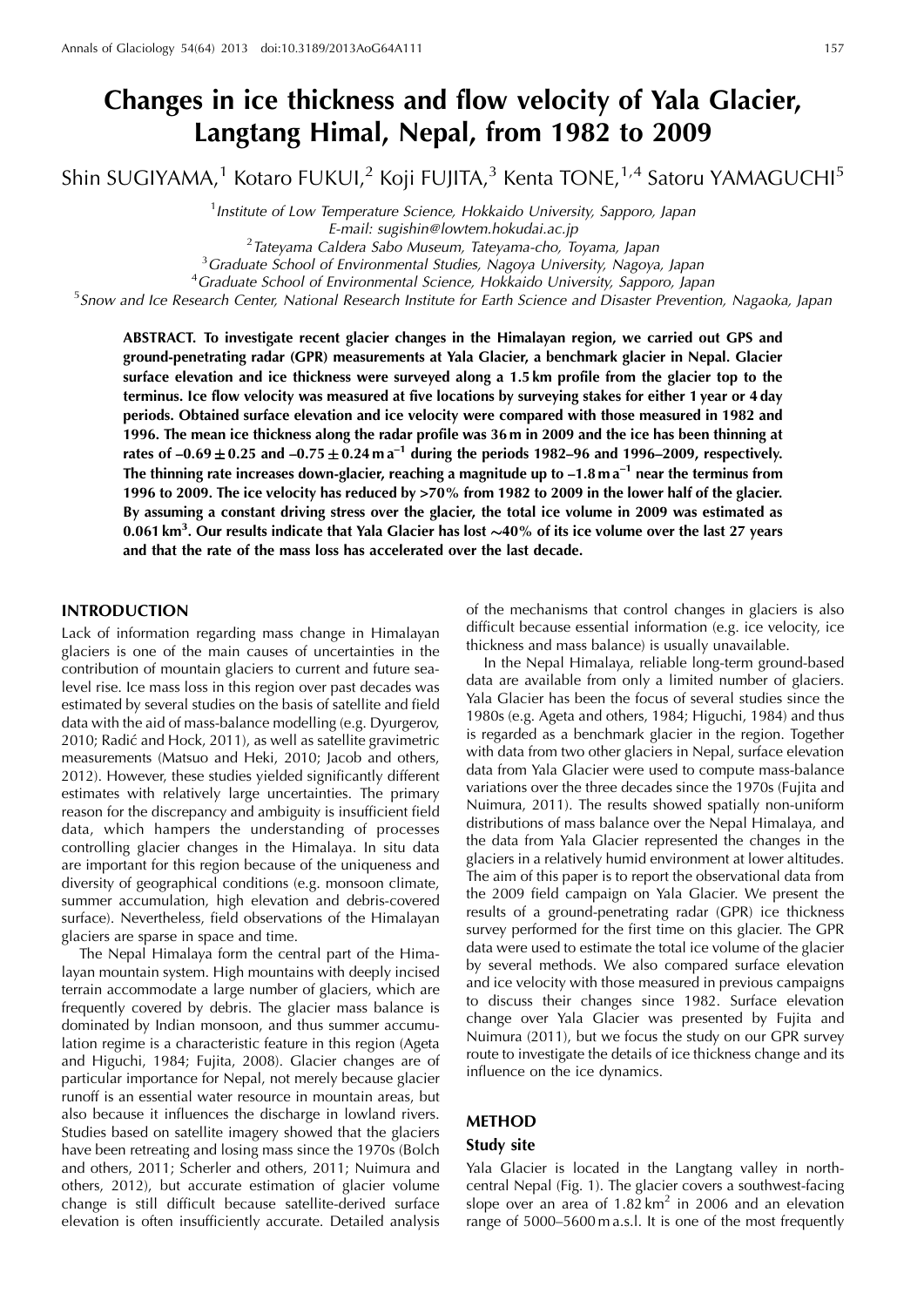# **Changes in ice thickness and flow velocity of Yala Glacier, Langtang Himal, Nepal, from 1982 to 2009**

Shin SUGIYAMA,<sup>1</sup> Kotaro FUKUI,<sup>2</sup> Koji FUJITA,<sup>3</sup> Kenta TONE,<sup>1,4</sup> Satoru YAMAGUCHI<sup>5</sup>

<sup>1</sup> Institute of Low Temperature Science, Hokkaido University, Sapporo, Japan

E-mail: sugishin@lowtem.hokudai.ac.jp<br><sup>2</sup> Tatevama Caldera Sabo Museum, Tatevama cho, T

Tateyama Caldera Sabo Museum, Tateyama-cho, Toyama, Japan <sup>3</sup>

<sup>3</sup> Graduate School of Environmental Studies, Nagoya University, Nagoya, Japan

<sup>4</sup> Graduate School of Environmental Science, Hokkaido University, Sapporo, Japan

<sup>5</sup> Snow and Ice Research Center, National Research Institute for Earth Science and Disaster Prevention, Nagaoka, Japan

**ABSTRACT. To investigate recent glacier changes in the Himalayan region, we carried out GPS and ground-penetrating radar (GPR) measurements at Yala Glacier, a benchmark glacier in Nepal. Glacier surface elevation and ice thickness were surveyed along a 1.5 km profile from the glacier top to the terminus. Ice flow velocity was measured at five locations by surveying stakes for either 1 year or 4 day periods. Obtained surface elevation and ice velocity were compared with those measured in 1982 and 1996. The mean ice thickness along the radar profile was 36 m in 2009 and the ice has been thinning at** rates of  $-0.69 \pm 0.25$  and  $-0.75 \pm 0.24$  m a<sup>-1</sup> during the periods 1982–96 and 1996–2009, respectively. **The thinning rate increases down-glacier, reaching a magnitude up to –1.8 m a–1 near the terminus from 1996 to 2009. The ice velocity has reduced by >70% from 1982 to 2009 in the lower half of the glacier. By assuming a constant driving stress over the glacier, the total ice volume in 2009 was estimated as 0.061 km<sup>3</sup> . Our results indicate that Yala Glacier has lost 40% of its ice volume over the last 27 years and that the rate of the mass loss has accelerated over the last decade.**

## **INTRODUCTION**

Lack of information regarding mass change in Himalayan glaciers is one of the main causes of uncertainties in the contribution of mountain glaciers to current and future sealevel rise. Ice mass loss in this region over past decades was estimated by several studies on the basis of satellite and field data with the aid of mass-balance modelling (e.g. Dyurgerov, 2010; Radić and Hock, 2011), as well as satellite gravimetric measurements (Matsuo and Heki, 2010; Jacob and others, 2012). However, these studies yielded significantly different estimates with relatively large uncertainties. The primary reason for the discrepancy and ambiguity is insufficient field data, which hampers the understanding of processes controlling glacier changes in the Himalaya. In situ data are important for this region because of the uniqueness and diversity of geographical conditions (e.g. monsoon climate, summer accumulation, high elevation and debris-covered surface). Nevertheless, field observations of the Himalayan glaciers are sparse in space and time.

The Nepal Himalaya form the central part of the Himalayan mountain system. High mountains with deeply incised terrain accommodate a large number of glaciers, which are frequently covered by debris. The glacier mass balance is dominated by Indian monsoon, and thus summer accumulation regime is a characteristic feature in this region (Ageta and Higuchi, 1984; Fujita, 2008). Glacier changes are of particular importance for Nepal, not merely because glacier runoff is an essential water resource in mountain areas, but also because it influences the discharge in lowland rivers. Studies based on satellite imagery showed that the glaciers have been retreating and losing mass since the 1970s (Bolch and others, 2011; Scherler and others, 2011; Nuimura and others, 2012), but accurate estimation of glacier volume change is still difficult because satellite-derived surface elevation is often insufficiently accurate. Detailed analysis

of the mechanisms that control changes in glaciers is also difficult because essential information (e.g. ice velocity, ice thickness and mass balance) is usually unavailable.

In the Nepal Himalaya, reliable long-term ground-based data are available from only a limited number of glaciers. Yala Glacier has been the focus of several studies since the 1980s (e.g. Ageta and others, 1984; Higuchi, 1984) and thus is regarded as a benchmark glacier in the region. Together with data from two other glaciers in Nepal, surface elevation data from Yala Glacier were used to compute mass-balance variations over the three decades since the 1970s (Fujita and Nuimura, 2011). The results showed spatially non-uniform distributions of mass balance over the Nepal Himalaya, and the data from Yala Glacier represented the changes in the glaciers in a relatively humid environment at lower altitudes. The aim of this paper is to report the observational data from the 2009 field campaign on Yala Glacier. We present the results of a ground-penetrating radar (GPR) ice thickness survey performed for the first time on this glacier. The GPR data were used to estimate the total ice volume of the glacier by several methods. We also compared surface elevation and ice velocity with those measured in previous campaigns to discuss their changes since 1982. Surface elevation change over Yala Glacier was presented by Fujita and Nuimura (2011), but we focus the study on our GPR survey route to investigate the details of ice thickness change and its influence on the ice dynamics.

# **METHOD**

## **Study site**

Yala Glacier is located in the Langtang valley in northcentral Nepal (Fig. 1). The glacier covers a southwest-facing slope over an area of  $1.82 \text{ km}^2$  in 2006 and an elevation range of 5000–5600 m a.s.l. It is one of the most frequently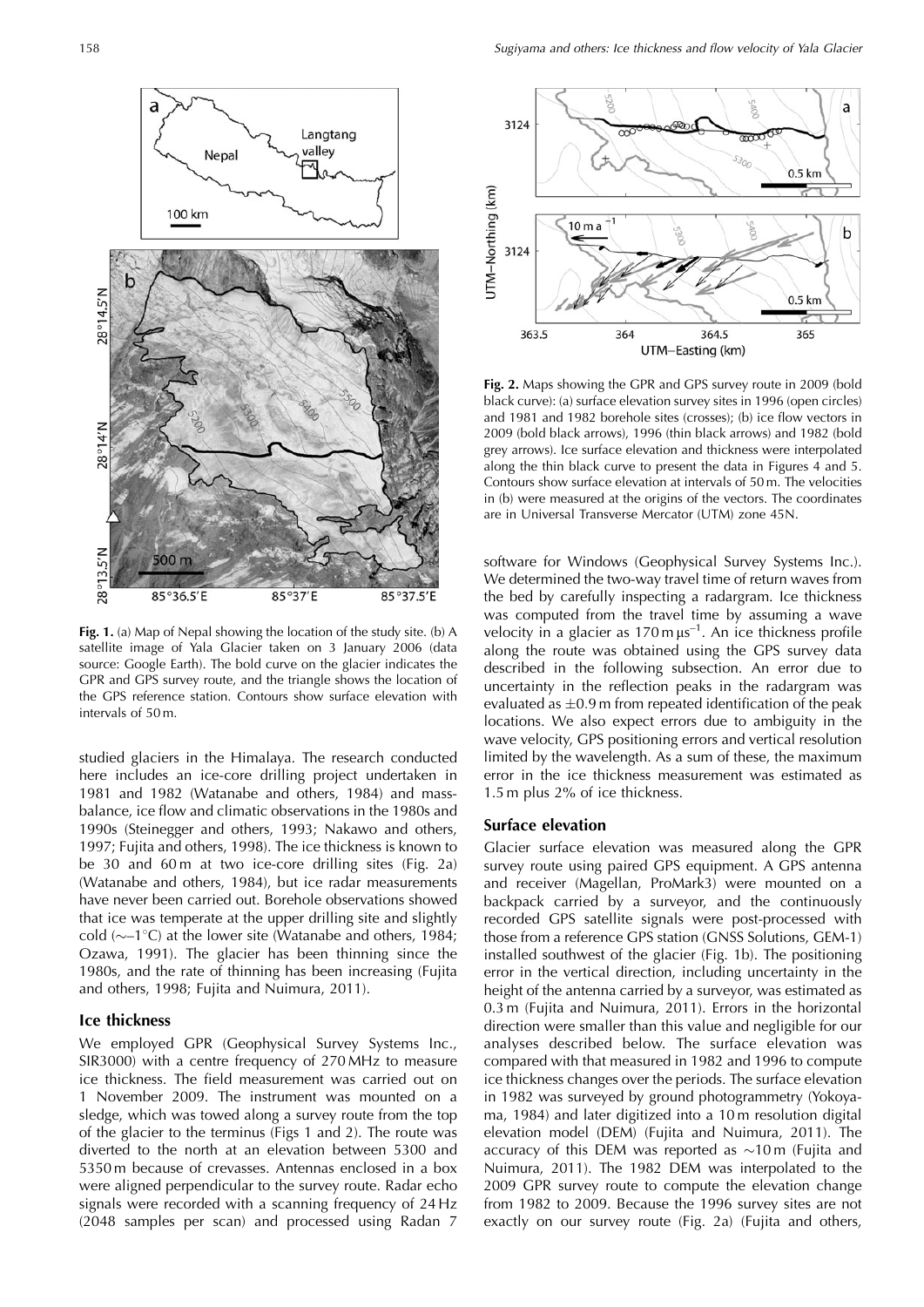

**Fig. 1.** (a) Map of Nepal showing the location of the study site. (b) A satellite image of Yala Glacier taken on 3 January 2006 (data source: Google Earth). The bold curve on the glacier indicates the GPR and GPS survey route, and the triangle shows the location of the GPS reference station. Contours show surface elevation with intervals of 50 m.

studied glaciers in the Himalaya. The research conducted here includes an ice-core drilling project undertaken in 1981 and 1982 (Watanabe and others, 1984) and massbalance, ice flow and climatic observations in the 1980s and 1990s (Steinegger and others, 1993; Nakawo and others, 1997; Fujita and others, 1998). The ice thickness is known to be 30 and 60m at two ice-core drilling sites (Fig. 2a) (Watanabe and others, 1984), but ice radar measurements have never been carried out. Borehole observations showed that ice was temperate at the upper drilling site and slightly cold ( $\sim$ -1°C) at the lower site (Watanabe and others, 1984; Ozawa, 1991). The glacier has been thinning since the 1980s, and the rate of thinning has been increasing (Fujita and others, 1998; Fujita and Nuimura, 2011).

## **Ice thickness**

We employed GPR (Geophysical Survey Systems Inc., SIR3000) with a centre frequency of 270 MHz to measure ice thickness. The field measurement was carried out on 1 November 2009. The instrument was mounted on a sledge, which was towed along a survey route from the top of the glacier to the terminus (Figs 1 and 2). The route was diverted to the north at an elevation between 5300 and 5350 m because of crevasses. Antennas enclosed in a box were aligned perpendicular to the survey route. Radar echo signals were recorded with a scanning frequency of 24 Hz (2048 samples per scan) and processed using Radan 7



**Fig. 2.** Maps showing the GPR and GPS survey route in 2009 (bold black curve): (a) surface elevation survey sites in 1996 (open circles) and 1981 and 1982 borehole sites (crosses); (b) ice flow vectors in 2009 (bold black arrows), 1996 (thin black arrows) and 1982 (bold grey arrows). Ice surface elevation and thickness were interpolated along the thin black curve to present the data in Figures 4 and 5. Contours show surface elevation at intervals of 50 m. The velocities in (b) were measured at the origins of the vectors. The coordinates are in Universal Transverse Mercator (UTM) zone 45N.

software for Windows (Geophysical Survey Systems Inc.). We determined the two-way travel time of return waves from the bed by carefully inspecting a radargram. Ice thickness was computed from the travel time by assuming a wave velocity in a glacier as  $170 \text{ m }\mu\text{s}^{-1}$ . An ice thickness profile along the route was obtained using the GPS survey data described in the following subsection. An error due to uncertainty in the reflection peaks in the radargram was evaluated as  $\pm 0.9$  m from repeated identification of the peak locations. We also expect errors due to ambiguity in the wave velocity, GPS positioning errors and vertical resolution limited by the wavelength. As a sum of these, the maximum error in the ice thickness measurement was estimated as 1.5 m plus 2% of ice thickness.

## **Surface elevation**

Glacier surface elevation was measured along the GPR survey route using paired GPS equipment. A GPS antenna and receiver (Magellan, ProMark3) were mounted on a backpack carried by a surveyor, and the continuously recorded GPS satellite signals were post-processed with those from a reference GPS station (GNSS Solutions, GEM-1) installed southwest of the glacier (Fig. 1b). The positioning error in the vertical direction, including uncertainty in the height of the antenna carried by a surveyor, was estimated as 0.3 m (Fujita and Nuimura, 2011). Errors in the horizontal direction were smaller than this value and negligible for our analyses described below. The surface elevation was compared with that measured in 1982 and 1996 to compute ice thickness changes over the periods. The surface elevation in 1982 was surveyed by ground photogrammetry (Yokoyama, 1984) and later digitized into a 10 m resolution digital elevation model (DEM) (Fujita and Nuimura, 2011). The accuracy of this DEM was reported as  $\sim$ 10 m (Fujita and Nuimura, 2011). The 1982 DEM was interpolated to the 2009 GPR survey route to compute the elevation change from 1982 to 2009. Because the 1996 survey sites are not exactly on our survey route (Fig. 2a) (Fujita and others,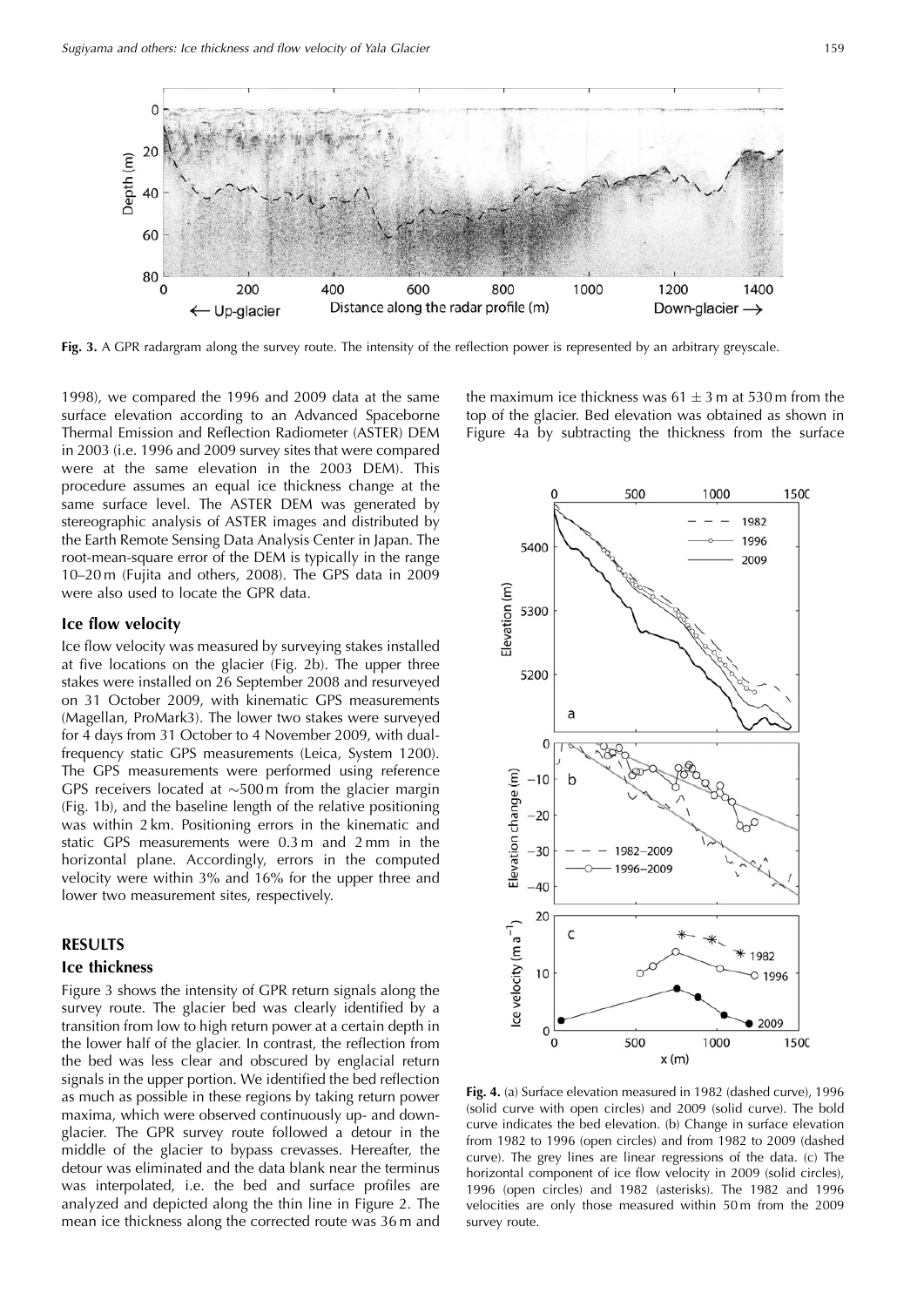

**Fig. 3.** A GPR radargram along the survey route. The intensity of the reflection power is represented by an arbitrary greyscale.

1998), we compared the 1996 and 2009 data at the same surface elevation according to an Advanced Spaceborne Thermal Emission and Reflection Radiometer (ASTER) DEM in 2003 (i.e. 1996 and 2009 survey sites that were compared were at the same elevation in the 2003 DEM). This procedure assumes an equal ice thickness change at the same surface level. The ASTER DEM was generated by stereographic analysis of ASTER images and distributed by the Earth Remote Sensing Data Analysis Center in Japan. The root-mean-square error of the DEM is typically in the range 10–20 m (Fujita and others, 2008). The GPS data in 2009 were also used to locate the GPR data.

## **Ice flow velocity**

Ice flow velocity was measured by surveying stakes installed at five locations on the glacier (Fig. 2b). The upper three stakes were installed on 26 September 2008 and resurveyed on 31 October 2009, with kinematic GPS measurements (Magellan, ProMark3). The lower two stakes were surveyed for 4 days from 31 October to 4 November 2009, with dualfrequency static GPS measurements (Leica, System 1200). The GPS measurements were performed using reference GPS receivers located at  $\sim$ 500 m from the glacier margin (Fig. 1b), and the baseline length of the relative positioning was within 2 km. Positioning errors in the kinematic and static GPS measurements were 0.3 m and 2 mm in the horizontal plane. Accordingly, errors in the computed velocity were within 3% and 16% for the upper three and lower two measurement sites, respectively.

## **RESULTS**

#### **Ice thickness**

Figure 3 shows the intensity of GPR return signals along the survey route. The glacier bed was clearly identified by a transition from low to high return power at a certain depth in the lower half of the glacier. In contrast, the reflection from the bed was less clear and obscured by englacial return signals in the upper portion. We identified the bed reflection as much as possible in these regions by taking return power maxima, which were observed continuously up- and downglacier. The GPR survey route followed a detour in the middle of the glacier to bypass crevasses. Hereafter, the detour was eliminated and the data blank near the terminus was interpolated, i.e. the bed and surface profiles are analyzed and depicted along the thin line in Figure 2. The mean ice thickness along the corrected route was 36 m and

the maximum ice thickness was  $61 \pm 3$  m at 530 m from the top of the glacier. Bed elevation was obtained as shown in Figure 4a by subtracting the thickness from the surface



**Fig. 4.** (a) Surface elevation measured in 1982 (dashed curve), 1996 (solid curve with open circles) and 2009 (solid curve). The bold curve indicates the bed elevation. (b) Change in surface elevation from 1982 to 1996 (open circles) and from 1982 to 2009 (dashed curve). The grey lines are linear regressions of the data. (c) The horizontal component of ice flow velocity in 2009 (solid circles), 1996 (open circles) and 1982 (asterisks). The 1982 and 1996 velocities are only those measured within 50 m from the 2009 survey route.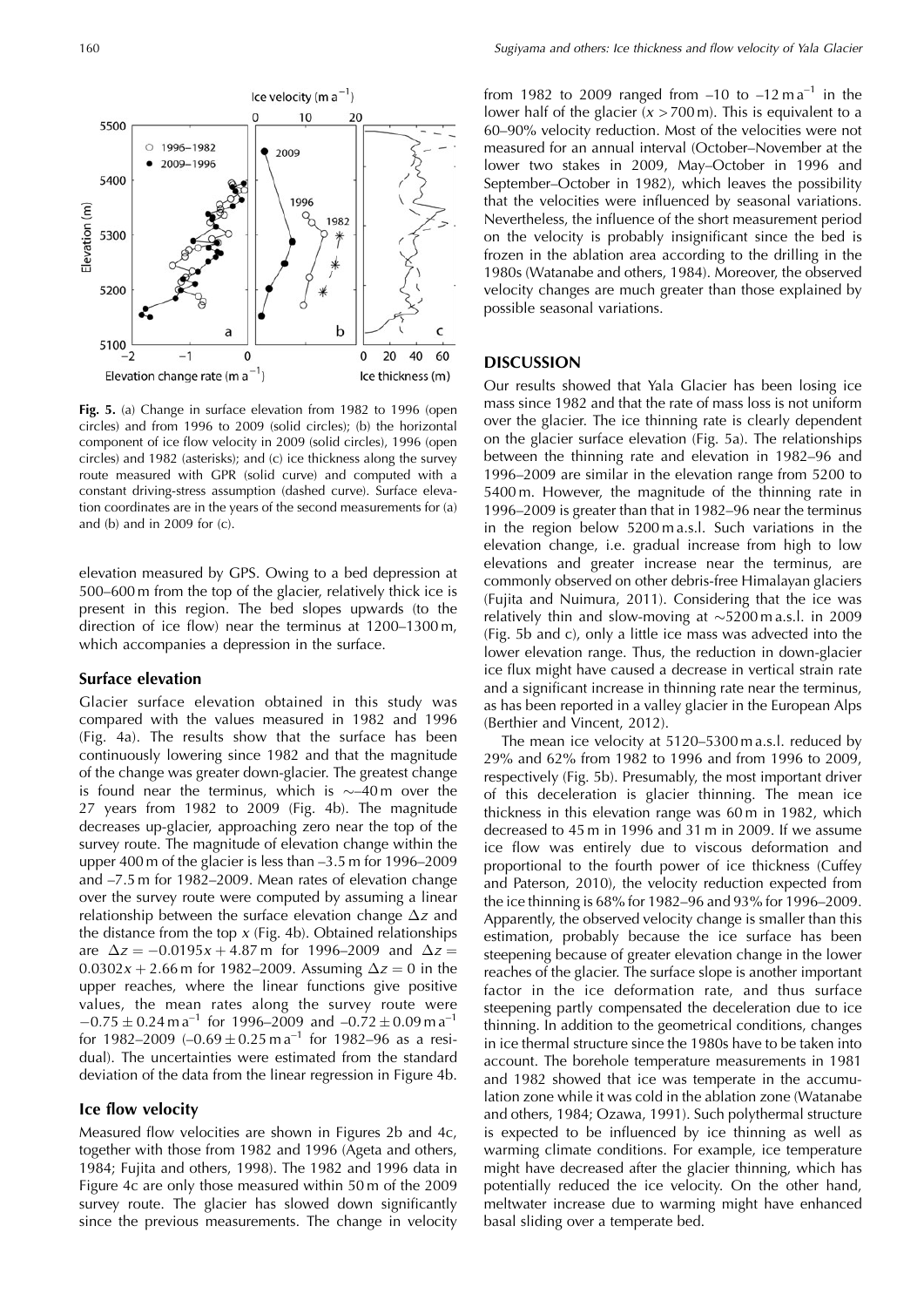

**Fig. 5.** (a) Change in surface elevation from 1982 to 1996 (open circles) and from 1996 to 2009 (solid circles); (b) the horizontal component of ice flow velocity in 2009 (solid circles), 1996 (open circles) and 1982 (asterisks); and (c) ice thickness along the survey route measured with GPR (solid curve) and computed with a constant driving-stress assumption (dashed curve). Surface elevation coordinates are in the years of the second measurements for (a) and (b) and in 2009 for (c).

elevation measured by GPS. Owing to a bed depression at 500–600 m from the top of the glacier, relatively thick ice is present in this region. The bed slopes upwards (to the direction of ice flow) near the terminus at 1200–1300 m, which accompanies a depression in the surface.

#### **Surface elevation**

Glacier surface elevation obtained in this study was compared with the values measured in 1982 and 1996 (Fig. 4a). The results show that the surface has been continuously lowering since 1982 and that the magnitude of the change was greater down-glacier. The greatest change is found near the terminus, which is  $\sim$  40 m over the 27 years from 1982 to 2009 (Fig. 4b). The magnitude decreases up-glacier, approaching zero near the top of the survey route. The magnitude of elevation change within the upper 400 m of the glacier is less than –3.5 m for 1996–2009 and –7.5 m for 1982–2009. Mean rates of elevation change over the survey route were computed by assuming a linear relationship between the surface elevation change  $\Delta z$  and the distance from the top  $x$  (Fig. 4b). Obtained relationships are  $\Delta z = -0.0195x + 4.87 \text{ m}$  for 1996–2009 and  $\Delta z =$  $0.0302x + 2.66$  m for 1982–2009. Assuming  $\Delta z = 0$  in the upper reaches, where the linear functions give positive values, the mean rates along the survey route were  $-0.75 \pm 0.24$  m a<sup>-1</sup> for 1996–2009 and  $-0.72 \pm 0.09$  m a<sup>-1</sup> for 1982–2009  $(-0.69 \pm 0.25 \text{ m}\text{a}^{-1})$  for 1982–96 as a residual). The uncertainties were estimated from the standard deviation of the data from the linear regression in Figure 4b.

## **Ice flow velocity**

Measured flow velocities are shown in Figures 2b and 4c, together with those from 1982 and 1996 (Ageta and others, 1984; Fujita and others, 1998). The 1982 and 1996 data in Figure 4c are only those measured within 50 m of the 2009 survey route. The glacier has slowed down significantly since the previous measurements. The change in velocity

from 1982 to 2009 ranged from  $-10$  to  $-12$  m a<sup>-1</sup> in the lower half of the glacier  $(x > 700 \text{ m})$ . This is equivalent to a 60–90% velocity reduction. Most of the velocities were not measured for an annual interval (October–November at the lower two stakes in 2009, May–October in 1996 and September–October in 1982), which leaves the possibility that the velocities were influenced by seasonal variations. Nevertheless, the influence of the short measurement period on the velocity is probably insignificant since the bed is frozen in the ablation area according to the drilling in the 1980s (Watanabe and others, 1984). Moreover, the observed velocity changes are much greater than those explained by possible seasonal variations.

## **DISCUSSION**

Our results showed that Yala Glacier has been losing ice mass since 1982 and that the rate of mass loss is not uniform over the glacier. The ice thinning rate is clearly dependent on the glacier surface elevation (Fig. 5a). The relationships between the thinning rate and elevation in 1982–96 and 1996–2009 are similar in the elevation range from 5200 to 5400 m. However, the magnitude of the thinning rate in 1996–2009 is greater than that in 1982–96 near the terminus in the region below 5200 m a.s.l. Such variations in the elevation change, i.e. gradual increase from high to low elevations and greater increase near the terminus, are commonly observed on other debris-free Himalayan glaciers (Fujita and Nuimura, 2011). Considering that the ice was relatively thin and slow-moving at  $\sim$ 5200 m a.s.l. in 2009 (Fig. 5b and c), only a little ice mass was advected into the lower elevation range. Thus, the reduction in down-glacier ice flux might have caused a decrease in vertical strain rate and a significant increase in thinning rate near the terminus, as has been reported in a valley glacier in the European Alps (Berthier and Vincent, 2012).

The mean ice velocity at 5120–5300 m a.s.l. reduced by 29% and 62% from 1982 to 1996 and from 1996 to 2009, respectively (Fig. 5b). Presumably, the most important driver of this deceleration is glacier thinning. The mean ice thickness in this elevation range was 60 m in 1982, which decreased to 45 m in 1996 and 31 m in 2009. If we assume ice flow was entirely due to viscous deformation and proportional to the fourth power of ice thickness (Cuffey and Paterson, 2010), the velocity reduction expected from the ice thinning is 68% for 1982–96 and 93% for 1996–2009. Apparently, the observed velocity change is smaller than this estimation, probably because the ice surface has been steepening because of greater elevation change in the lower reaches of the glacier. The surface slope is another important factor in the ice deformation rate, and thus surface steepening partly compensated the deceleration due to ice thinning. In addition to the geometrical conditions, changes in ice thermal structure since the 1980s have to be taken into account. The borehole temperature measurements in 1981 and 1982 showed that ice was temperate in the accumulation zone while it was cold in the ablation zone (Watanabe and others, 1984; Ozawa, 1991). Such polythermal structure is expected to be influenced by ice thinning as well as warming climate conditions. For example, ice temperature might have decreased after the glacier thinning, which has potentially reduced the ice velocity. On the other hand, meltwater increase due to warming might have enhanced basal sliding over a temperate bed.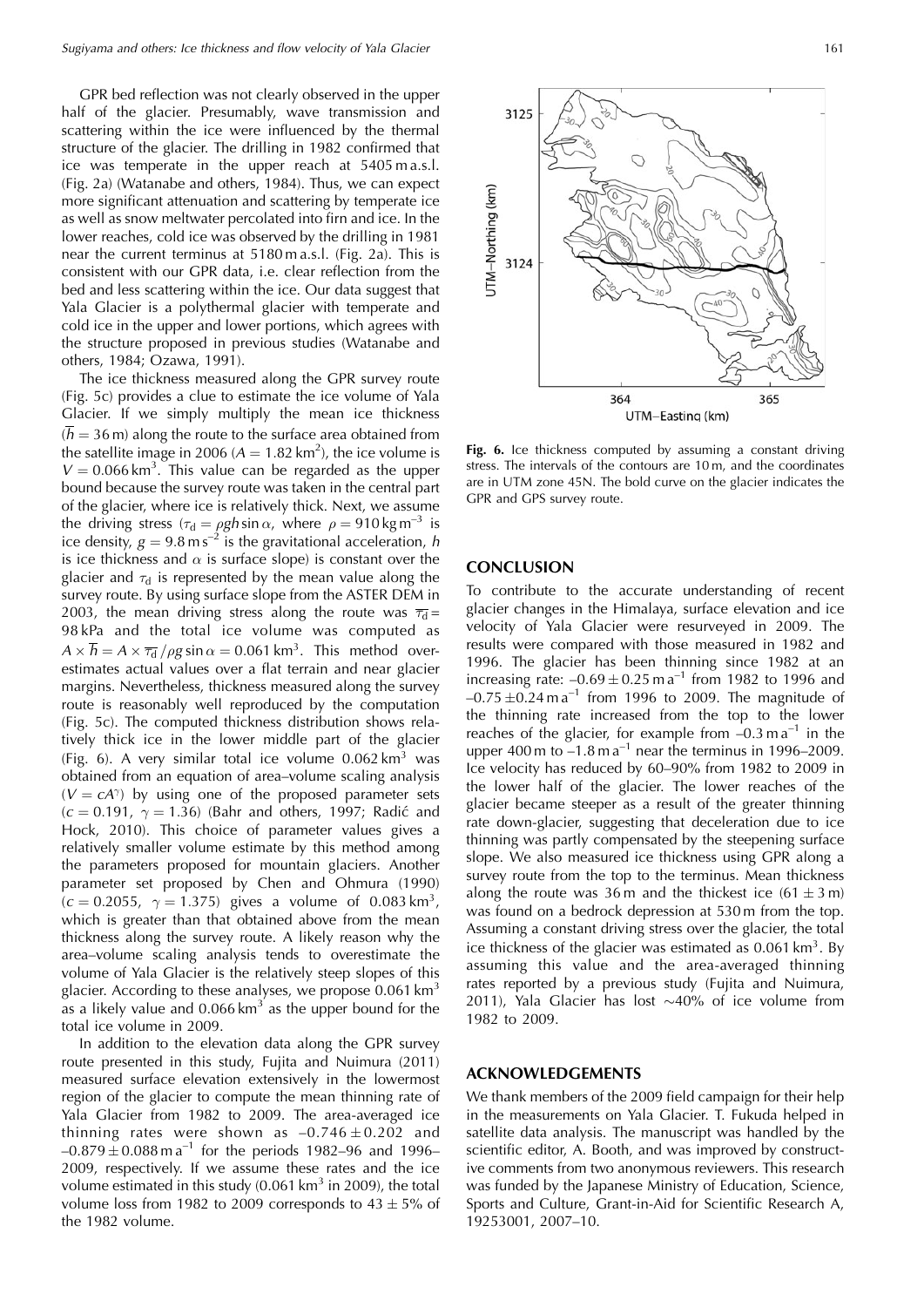GPR bed reflection was not clearly observed in the upper half of the glacier. Presumably, wave transmission and scattering within the ice were influenced by the thermal structure of the glacier. The drilling in 1982 confirmed that ice was temperate in the upper reach at 5405 m a.s.l. (Fig. 2a) (Watanabe and others, 1984). Thus, we can expect more significant attenuation and scattering by temperate ice as well as snow meltwater percolated into firn and ice. In the lower reaches, cold ice was observed by the drilling in 1981 near the current terminus at 5180 m a.s.l. (Fig. 2a). This is consistent with our GPR data, i.e. clear reflection from the bed and less scattering within the ice. Our data suggest that Yala Glacier is a polythermal glacier with temperate and cold ice in the upper and lower portions, which agrees with the structure proposed in previous studies (Watanabe and others, 1984; Ozawa, 1991).

The ice thickness measured along the GPR survey route (Fig. 5c) provides a clue to estimate the ice volume of Yala Glacier. If we simply multiply the mean ice thickness  $(\overline{h} = 36 \,\mathrm{m})$  along the route to the surface area obtained from the satellite image in 2006 ( $A = 1.82 \text{ km}^2$ ), the ice volume is  $V = 0.066 \text{ km}^3$ . This value can be regarded as the upper bound because the survey route was taken in the central part of the glacier, where ice is relatively thick. Next, we assume the driving stress  $(\tau_d = \rho g h \sin \alpha$ , where  $\rho = 910 \text{ kg m}^{-3}$  is ice density,  $g = 9.8 \text{ m s}^{-2}$  is the gravitational acceleration, h is ice thickness and  $\alpha$  is surface slope) is constant over the glacier and  $\tau_{\rm d}$  is represented by the mean value along the survey route. By using surface slope from the ASTER DEM in 2003, the mean driving stress along the route was  $\overline{\tau_{\sf d}}$  = 98 kPa and the total ice volume was computed as  $A \times h = A \times \overline{\tau_d} / \rho g \sin \alpha = 0.061 \text{ km}^3$ . This method overestimates actual values over a flat terrain and near glacier margins. Nevertheless, thickness measured along the survey route is reasonably well reproduced by the computation (Fig. 5c). The computed thickness distribution shows relatively thick ice in the lower middle part of the glacier (Fig. 6). A very similar total ice volume  $0.062 \text{ km}^3$  was obtained from an equation of area–volume scaling analysis  $(V = cA^{\gamma})$  by using one of the proposed parameter sets  $(c = 0.191, \gamma = 1.36)$  (Bahr and others, 1997; Radić and Hock, 2010). This choice of parameter values gives a relatively smaller volume estimate by this method among the parameters proposed for mountain glaciers. Another parameter set proposed by Chen and Ohmura (1990)  $(c = 0.2055, \gamma = 1.375)$  gives a volume of 0.083 km<sup>3</sup>, which is greater than that obtained above from the mean thickness along the survey route. A likely reason why the area–volume scaling analysis tends to overestimate the volume of Yala Glacier is the relatively steep slopes of this glacier. According to these analyses, we propose  $0.061 \text{ km}^3$ as a likely value and  $0.066 \text{ km}^3$  as the upper bound for the total ice volume in 2009.

In addition to the elevation data along the GPR survey route presented in this study, Fujita and Nuimura (2011) measured surface elevation extensively in the lowermost region of the glacier to compute the mean thinning rate of Yala Glacier from 1982 to 2009. The area-averaged ice thinning rates were shown as  $-0.746 \pm 0.202$  and  $-0.879 \pm 0.088$  m a<sup>-1</sup> for the periods 1982–96 and 1996– 2009, respectively. If we assume these rates and the ice volume estimated in this study  $(0.061 \text{ km}^3 \text{ in } 2009)$ , the total volume loss from 1982 to 2009 corresponds to  $43 \pm 5\%$  of the 1982 volume.



Fig. 6. Ice thickness computed by assuming a constant driving stress. The intervals of the contours are 10 m, and the coordinates are in UTM zone 45N. The bold curve on the glacier indicates the GPR and GPS survey route.

## **CONCLUSION**

To contribute to the accurate understanding of recent glacier changes in the Himalaya, surface elevation and ice velocity of Yala Glacier were resurveyed in 2009. The results were compared with those measured in 1982 and 1996. The glacier has been thinning since 1982 at an increasing rate:  $-0.69 \pm 0.25$  m a<sup>-1</sup> from 1982 to 1996 and  $-0.75 \pm 0.24 \text{ m a}^{-1}$  from 1996 to 2009. The magnitude of the thinning rate increased from the top to the lower reaches of the glacier, for example from  $-0.3$  ma<sup>-1</sup> in the upper 400 m to  $-1.8$  m  $a^{-1}$  near the terminus in 1996–2009. Ice velocity has reduced by 60–90% from 1982 to 2009 in the lower half of the glacier. The lower reaches of the glacier became steeper as a result of the greater thinning rate down-glacier, suggesting that deceleration due to ice thinning was partly compensated by the steepening surface slope. We also measured ice thickness using GPR along a survey route from the top to the terminus. Mean thickness along the route was  $36 \text{ m}$  and the thickest ice  $(61 \pm 3 \text{ m})$ was found on a bedrock depression at 530 m from the top. Assuming a constant driving stress over the glacier, the total ice thickness of the glacier was estimated as  $0.061 \text{ km}^3$ . By assuming this value and the area-averaged thinning rates reported by a previous study (Fujita and Nuimura, 2011), Yala Glacier has lost  $\sim$ 40% of ice volume from 1982 to 2009.

## **ACKNOWLEDGEMENTS**

We thank members of the 2009 field campaign for their help in the measurements on Yala Glacier. T. Fukuda helped in satellite data analysis. The manuscript was handled by the scientific editor, A. Booth, and was improved by constructive comments from two anonymous reviewers. This research was funded by the Japanese Ministry of Education, Science, Sports and Culture, Grant-in-Aid for Scientific Research A, 19253001, 2007–10.